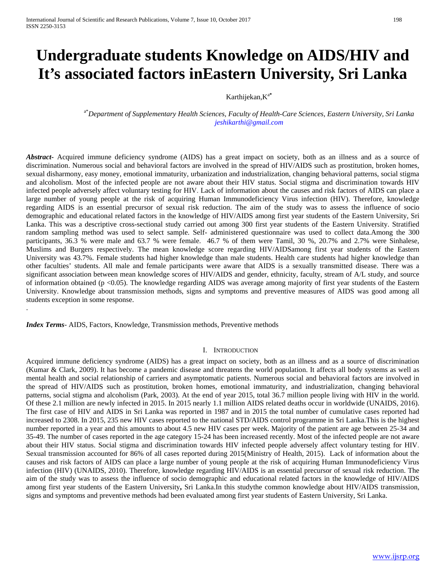# **Undergraduate students Knowledge on AIDS/HIV and It's associated factors inEastern University, Sri Lanka**

## Karthijekan,K<sup>a</sup>**\***

a\* *Department of Supplementary Health Sciences, Faculty of Health-Care Sciences, Eastern University, Sri Lanka [jeshikarthi@gmail.com](mailto:jeshikarthi@gmail.com)*

*Abstract***-** Acquired immune deficiency syndrome (AIDS) has a great impact on society, both as an illness and as a source of discrimination. Numerous social and behavioral factors are involved in the spread of HIV/AIDS such as prostitution, broken homes, sexual disharmony, easy money, emotional immaturity, urbanization and industrialization, changing behavioral patterns, social stigma and alcoholism. Most of the infected people are not aware about their HIV status. Social stigma and discrimination towards HIV infected people adversely affect voluntary testing for HIV. Lack of information about the causes and risk factors of AIDS can place a large number of young people at the risk of acquiring Human Immunodeficiency Virus infection (HIV). Therefore, knowledge regarding AIDS is an essential precursor of sexual risk reduction. The aim of the study was to assess the influence of socio demographic and educational related factors in the knowledge of HIV/AIDS among first year students of the Eastern University, Sri Lanka. This was a descriptive cross-sectional study carried out among 300 first year students of the Eastern University. Stratified random sampling method was used to select sample. Self- administered questionnaire was used to collect data.Among the 300 participants, 36.3 % were male and 63.7 % were female. 46.7 % of them were Tamil, 30 %, 20.7% and 2.7% were Sinhalese, Muslims and Burgers respectively. The mean knowledge score regarding HIV/AIDSamong first year students of the Eastern University was 43.7%. Female students had higher knowledge than male students. Health care students had higher knowledge than other faculties' students. All male and female participants were aware that AIDS is a sexually transmitted disease. There was a significant association between mean knowledge scores of HIV/AIDS and gender, ethnicity, faculty, stream of A/L study, and source of information obtained (p <0.05). The knowledge regarding AIDS was average among majority of first year students of the Eastern University. Knowledge about transmission methods, signs and symptoms and preventive measures of AIDS was good among all students exception in some response.

*Index Terms*- AIDS, Factors, Knowledge, Transmission methods, Preventive methods

.

#### I. INTRODUCTION

Acquired immune deficiency syndrome (AIDS) has a great impact on society, both as an illness and as a source of discrimination (Kumar & Clark, 2009). It has become a pandemic disease and threatens the world population. It affects all body systems as well as mental health and social relationship of carriers and asymptomatic patients. Numerous social and behavioral factors are involved in the spread of HIV/AIDS such as prostitution, broken homes, emotional immaturity, and industrialization, changing behavioral patterns, social stigma and alcoholism (Park, 2003). At the end of year 2015, total 36.7 million people living with HIV in the world. Of these 2.1 million are newly infected in 2015. In 2015 nearly 1.1 million AIDS related deaths occur in worldwide (UNAIDS, 2016). The first case of HIV and AIDS in Sri Lanka was reported in 1987 and in 2015 the total number of cumulative cases reported had increased to 2308. In 2015, 235 new HIV cases reported to the national STD/AIDS control programme in Sri Lanka.This is the highest number reported in a year and this amounts to about 4.5 new HIV cases per week. Majority of the patient are age between 25-34 and 35-49. The number of cases reported in the age category 15-24 has been increased recently. Most of the infected people are not aware about their HIV status. Social stigma and discrimination towards HIV infected people adversely affect voluntary testing for HIV. Sexual transmission accounted for 86% of all cases reported during 2015(Ministry of Health, 2015). Lack of information about the causes and risk factors of AIDS can place a large number of young people at the risk of acquiring Human Immunodeficiency Virus infection (HIV) (UNAIDS, 2010). Therefore, knowledge regarding HIV/AIDS is an essential precursor of sexual risk reduction. The aim of the study was to assess the influence of socio demographic and educational related factors in the knowledge of HIV/AIDS among first year students of the Eastern University**,** Sri Lanka.In this studythe common knowledge about HIV/AIDS transmission, signs and symptoms and preventive methods had been evaluated among first year students of Eastern University, Sri Lanka.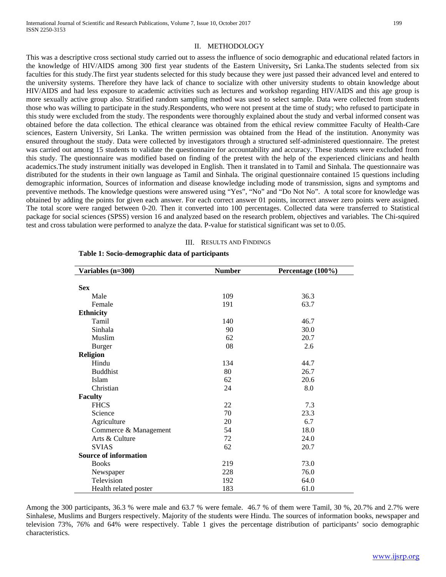### II. METHODOLOGY

This was a descriptive cross sectional study carried out to assess the influence of socio demographic and educational related factors in the knowledge of HIV/AIDS among 300 first year students of the Eastern University**,** Sri Lanka.The students selected from six faculties for this study.The first year students selected for this study because they were just passed their advanced level and entered to the university systems. Therefore they have lack of chance to socialize with other university students to obtain knowledge about HIV/AIDS and had less exposure to academic activities such as lectures and workshop regarding HIV/AIDS and this age group is more sexually active group also. Stratified random sampling method was used to select sample. Data were collected from students those who was willing to participate in the study.Respondents, who were not present at the time of study; who refused to participate in this study were excluded from the study. The respondents were thoroughly explained about the study and verbal informed consent was obtained before the data collection. The ethical clearance was obtained from the ethical review committee Faculty of Health-Care sciences, Eastern University, Sri Lanka. The written permission was obtained from the Head of the institution. Anonymity was ensured throughout the study. Data were collected by investigators through a structured self-administered questionnaire. The pretest was carried out among 15 students to validate the questionnaire for accountability and accuracy. These students were excluded from this study. The questionnaire was modified based on finding of the pretest with the help of the experienced clinicians and health academics.The study instrument initially was developed in English. Then it translated in to Tamil and Sinhala. The questionnaire was distributed for the students in their own language as Tamil and Sinhala. The original questionnaire contained 15 questions including demographic information, Sources of information and disease knowledge including mode of transmission, signs and symptoms and preventive methods. The knowledge questions were answered using "Yes", "No" and "Do Not No". A total score for knowledge was obtained by adding the points for given each answer. For each correct answer 01 points, incorrect answer zero points were assigned. The total score were ranged between 0-20. Then it converted into 100 percentages. Collected data were transferred to Statistical package for social sciences (SPSS) version 16 and analyzed based on the research problem, objectives and variables. The Chi-squired test and cross tabulation were performed to analyze the data. P-value for statistical significant was set to 0.05.

#### III. RESULTS AND FINDINGS

| Variables (n=300)            | <b>Number</b> | Percentage (100%) |  |
|------------------------------|---------------|-------------------|--|
|                              |               |                   |  |
| <b>Sex</b>                   |               |                   |  |
| Male                         | 109           | 36.3              |  |
| Female                       | 191           | 63.7              |  |
| <b>Ethnicity</b>             |               |                   |  |
| Tamil                        | 140           | 46.7              |  |
| Sinhala                      | 90            | 30.0              |  |
| Muslim                       | 62            | 20.7              |  |
| <b>Burger</b>                | 08            | 2.6               |  |
| <b>Religion</b>              |               |                   |  |
| Hindu                        | 134           | 44.7              |  |
| <b>Buddhist</b>              | 80            | 26.7              |  |
| Islam                        | 62            | 20.6              |  |
| Christian                    | 24            | 8.0               |  |
| <b>Faculty</b>               |               |                   |  |
| <b>FHCS</b>                  | 22            | 7.3               |  |
| Science                      | 70            | 23.3              |  |
| Agriculture                  | 20            | 6.7               |  |
| Commerce & Management        | 54            | 18.0              |  |
| Arts & Culture               | 72            | 24.0              |  |
| <b>SVIAS</b>                 | 62            | 20.7              |  |
| <b>Source of information</b> |               |                   |  |
| <b>Books</b>                 | 219           | 73.0              |  |
| Newspaper                    | 228           | 76.0              |  |
| Television                   | 192           | 64.0              |  |
| Health related poster        | 183           | 61.0              |  |

#### **Table 1: Socio-demographic data of participants**

Among the 300 participants, 36.3 % were male and 63.7 % were female. 46.7 % of them were Tamil, 30 %, 20.7% and 2.7% were Sinhalese, Muslims and Burgers respectively. Majority of the students were Hindu. The sources of information books, newspaper and television 73%, 76% and 64% were respectively. Table 1 gives the percentage distribution of participants' socio demographic characteristics.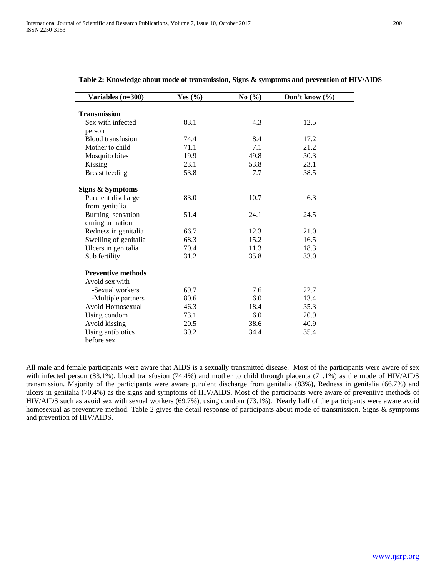| Variables (n=300)                  | Yes $(\% )$ | No(%) | Don't know $(\% )$ |
|------------------------------------|-------------|-------|--------------------|
| <b>Transmission</b>                |             |       |                    |
| Sex with infected                  | 83.1        | 4.3   | 12.5               |
|                                    |             |       |                    |
| person<br><b>Blood</b> transfusion | 74.4        | 8.4   | 17.2               |
| Mother to child                    | 71.1        | 7.1   | 21.2               |
|                                    |             | 49.8  |                    |
| Mosquito bites                     | 19.9        |       | 30.3               |
| Kissing                            | 23.1        | 53.8  | 23.1               |
| <b>Breast</b> feeding              | 53.8        | 7.7   | 38.5               |
| Signs & Symptoms                   |             |       |                    |
| Purulent discharge                 | 83.0        | 10.7  | 6.3                |
| from genitalia                     |             |       |                    |
| Burning sensation                  | 51.4        | 24.1  | 24.5               |
| during urination                   |             |       |                    |
| Redness in genitalia               | 66.7        | 12.3  | 21.0               |
| Swelling of genitalia              | 68.3        | 15.2  | 16.5               |
| Ulcers in genitalia                | 70.4        | 11.3  | 18.3               |
| Sub fertility                      | 31.2        | 35.8  | 33.0               |
| <b>Preventive methods</b>          |             |       |                    |
| Avoid sex with                     |             |       |                    |
| -Sexual workers                    | 69.7        | 7.6   | 22.7               |
| -Multiple partners                 | 80.6        | 6.0   | 13.4               |
| Avoid Homosexual                   | 46.3        | 18.4  | 35.3               |
| Using condom                       | 73.1        | 6.0   | 20.9               |
| Avoid kissing                      | 20.5        | 38.6  | 40.9               |
| Using antibiotics                  | 30.2        | 34.4  | 35.4               |
| before sex                         |             |       |                    |
|                                    |             |       |                    |

#### **Table 2: Knowledge about mode of transmission, Signs & symptoms and prevention of HIV/AIDS**

All male and female participants were aware that AIDS is a sexually transmitted disease. Most of the participants were aware of sex with infected person (83.1%), blood transfusion (74.4%) and mother to child through placenta (71.1%) as the mode of HIV/AIDS transmission. Majority of the participants were aware purulent discharge from genitalia (83%), Redness in genitalia (66.7%) and ulcers in genitalia (70.4%) as the signs and symptoms of HIV/AIDS. Most of the participants were aware of preventive methods of HIV/AIDS such as avoid sex with sexual workers (69.7%), using condom (73.1%). Nearly half of the participants were aware avoid homosexual as preventive method. Table 2 gives the detail response of participants about mode of transmission, Signs & symptoms and prevention of HIV/AIDS.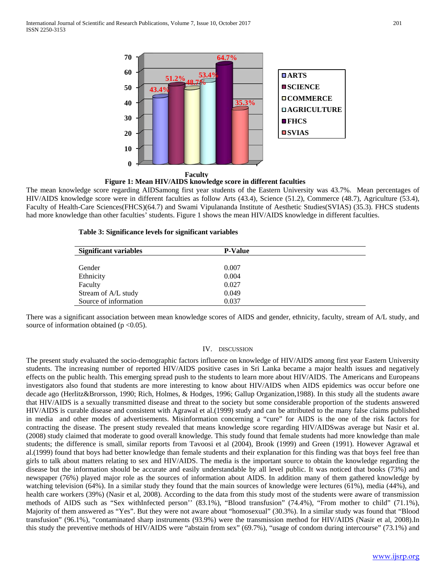



The mean knowledge score regarding AIDSamong first year students of the Eastern University was 43.7%. Mean percentages of HIV/AIDS knowledge score were in different faculties as follow Arts (43.4), Science (51.2), Commerce (48.7), Agriculture (53.4), Faculty of Health-Care Sciences(FHCS)(64.7) and Swami Vipulananda Institute of Aesthetic Studies(SVIAS) (35.3). FHCS students had more knowledge than other faculties' students. Figure 1 shows the mean HIV/AIDS knowledge in different faculties.

|  | Table 3: Significance levels for significant variables |  |  |  |
|--|--------------------------------------------------------|--|--|--|
|--|--------------------------------------------------------|--|--|--|

| <b>Significant variables</b> | <b>P-Value</b> |  |
|------------------------------|----------------|--|
|                              |                |  |
| Gender                       | 0.007          |  |
| Ethnicity                    | 0.004          |  |
| Faculty                      | 0.027          |  |
| Stream of A/L study          | 0.049          |  |
| Source of information        | 0.037          |  |

There was a significant association between mean knowledge scores of AIDS and gender, ethnicity, faculty, stream of A/L study, and source of information obtained ( $p < 0.05$ ).

## IV. DISCUSSION

The present study evaluated the socio-demographic factors influence on knowledge of HIV/AIDS among first year Eastern University students. The increasing number of reported HIV/AIDS positive cases in Sri Lanka became a major health issues and negatively effects on the public health. This emerging spread push to the students to learn more about HIV/AIDS. The Americans and Europeans investigators also found that students are more interesting to know about HIV/AIDS when AIDS epidemics was occur before one decade ago (Herlitz&Brorsson, 1990; Rich, Holmes, & Hodges, 1996; Gallup Organization,1988). In this study all the students aware that HIV/AIDS is a sexually transmitted disease and threat to the society but some considerable proportion of the students answered HIV/AIDS is curable disease and consistent with Agrawal et al.(1999) study and can be attributed to the many false claims published in media and other modes of advertisements. Misinformation concerning a "cure" for AIDS is the one of the risk factors for contracting the disease. The present study revealed that means knowledge score regarding HIV/AIDSwas average but Nasir et al. (2008) study claimed that moderate to good overall knowledge. This study found that female students had more knowledge than male students; the difference is small, similar reports from Tavoosi et al (2004), Brook (1999) and Green (1991). However Agrawal et al.(1999) found that boys had better knowledge than female students and their explanation for this finding was that boys feel free than girls to talk about matters relating to sex and HIV/AIDS. The media is the important source to obtain the knowledge regarding the disease but the information should be accurate and easily understandable by all level public. It was noticed that books (73%) and newspaper (76%) played major role as the sources of information about AIDS. In addition many of them gathered knowledge by watching television (64%). In a similar study they found that the main sources of knowledge were lectures (61%), media (44%), and health care workers (39%) (Nasir et al, 2008). According to the data from this study most of the students were aware of transmission methods of AIDS such as "Sex withInfected person'' (83.1%), "Blood transfusion" (74.4%), "From mother to child" (71.1%), Majority of them answered as "Yes". But they were not aware about "homosexual" (30.3%). In a similar study was found that "Blood transfusion" (96.1%), "contaminated sharp instruments (93.9%) were the transmission method for HIV/AIDS (Nasir et al, 2008).In this study the preventive methods of HIV/AIDS were "abstain from sex" (69.7%), "usage of condom during intercourse" (73.1%) and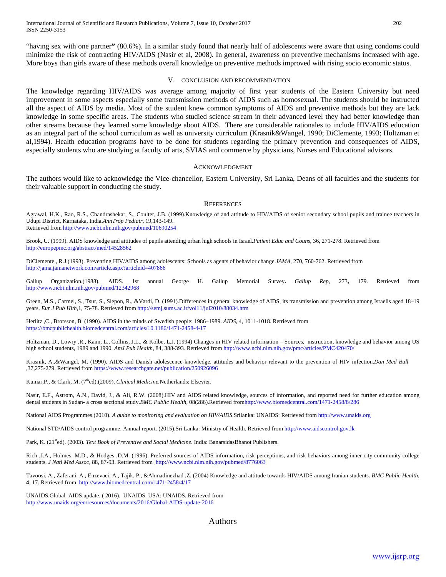"having sex with one partner**"** (80.6%). In a similar study found that nearly half of adolescents were aware that using condoms could minimize the risk of contracting HIV/AIDS (Nasir et al, 2008). In general, awareness on preventive mechanisms increased with age. More boys than girls aware of these methods overall knowledge on preventive methods improved with rising socio economic status.

#### V. CONCLUSION AND RECOMMENDATION

The knowledge regarding HIV/AIDS was average among majority of first year students of the Eastern University but need improvement in some aspects especially some transmission methods of AIDS such as homosexual. The students should be instructed all the aspect of AIDS by media. Most of the student knew common symptoms of AIDS and preventive methods but they are lack knowledge in some specific areas. The students who studied science stream in their advanced level they had better knowledge than other streams because they learned some knowledge about AIDS. There are considerable rationales to include HIV/AIDS education as an integral part of the school curriculum as well as university curriculum (Krasnik&Wangel, 1990; DiClemente, 1993; Holtzman et al,1994). Health education programs have to be done for students regarding the primary prevention and consequences of AIDS, especially students who are studying at faculty of arts, SVIAS and commerce by physicians, Nurses and Educational advisors.

#### ACKNOWLEDGMENT

The authors would like to acknowledge the Vice-chancellor, Eastern University, Sri Lanka, Deans of all faculties and the students for their valuable support in conducting the study.

#### **REFERENCES**

Agrawal, H.K., Rao, R.S., Chandrashekar, S., Coulter, J.B. (1999).Knowledge of and attitude to HIV/AIDS of senior secondary school pupils and trainee teachers in Udupi District, Karnataka, India**.***AnnTrop Pediatr*, 19,143-149. Retrieved fro[m http://www.ncbi.nlm.nih.gov/pubmed/10690254](http://www.ncbi.nlm.nih.gov/pubmed/10690254)

Brook, U. (1999). AIDS knowledge and attitudes of pupils attending urban high schools in Israel.*Patient Educ and Couns*, 36, 271-278. Retrieved from <http://europepmc.org/abstract/med/14528562>

DiClemente , R.J.(1993). Preventing HIV/AIDS among adolescents: Schools as agents of behavior change.*JAMA*, 270, 760-762. Retrieved from <http://jama.jamanetwork.com/article.aspx?articleid=407866>

Gallup Organization.(1988). AIDS. 1st annual George H. Gallup Memorial Survey**.** *Gallup Rep*, 273**,** 179. Retrieved from <http://www.ncbi.nlm.nih.gov/pubmed/12342968>

Green, M.S., Carmel, S., Tsur, S., Slepon, R., &Vardi, D. (1991).Differences in general knowledge of AIDS, its transmission and prevention among Israelis aged 18–19 years. *Eur J Pub Hlth*,1, 75-78. Retrieved from<http://semj.sums.ac.ir/vol11/jul2010/88034.htm>

Herlitz ,C., Brorsson, B. (1990). AIDS in the minds of Swedish people: 1986–1989. *AIDS*, 4, 1011-1018. Retrieved from <https://bmcpublichealth.biomedcentral.com/articles/10.1186/1471-2458-4-17>

Holtzman, D., Lowry ,R., Kann, L., Collins, J.L., & Kolbe, L.J. (1994) Changes in HIV related information – Sources, instruction, knowledge and behavior among US high school students, 1989 and 1990. *AmJ Pub Health*, 84, 388-393. Retrieved fro[m http://www.ncbi.nlm.nih.gov/pmc/articles/PMC420470/](http://www.ncbi.nlm.nih.gov/pmc/articles/PMC420470/)

Krasnik, A.,&Wangel, M. (1990). AIDS and Danish adolescence-knowledge, attitudes and behavior relevant to the prevention of HIV infection.*Dan Med Bull*  ,37,275-279. Retrieved fro[m https://www.researchgate.net/publication/250926096](https://www.researchgate.net/publication/250926096)

Kumar, P., & Clark, M. (7<sup>th</sup>ed).(2009). *Clinical Medicine*. Netherlands: Elsevier.

Nasir, E.F., Åstrøm, A.N., David, J., & Ali, R.W. (2008).HIV and AIDS related knowledge, sources of information, and reported need for further education among dental students in Sudan- a cross sectional study.*BMC Public Health,* 08(286).Retrieved fro[mhttp://www.biomedcentral.com/1471-2458/8/286](http://www.biomedcentral.com/1471-2458/8/286)

National AIDS Programmes.(2010). *A guide to monitoring and evaluation on HIV/AIDS*.Srilanka: UNAIDS: Retrieved fro[m http://www.unaids.org](http://www.unaids.org/)

National STD/AIDS control programme. Annual report. (2015).Sri Lanka: Ministry of Health. Retrieved from [http://www.aidscontrol.gov.lk](http://www.aidscontrol.gov.lk/)

Park, K. (21<sup>st</sup>ed). (2003). *Text Book of Preventive and Social Medicine*. India: BanarsidasBhanot Publishers.

Rich ,J.A., Holmes, M.D., & Hodges ,D.M. (1996). Preferred sources of AIDS information, risk perceptions, and risk behaviors among inner-city community college students. *J Natl Med Assoc*, 88, 87-93. Retrieved from<http://www.ncbi.nlm.nih.gov/pubmed/8776063>

Tavoosi, A., Zaferani, A., Enzevaei, A., Tajik, P., &Ahmadinezhad ,Z. (2004) Knowledge and attitude towards HIV/AIDS among Iranian students. *BMC Public Health*, **4**, 17. Retrieved from<http://www.biomedcentral.com/1471-2458/4/17>

UNAIDS.Global AIDS update. ( 2016). UNAIDS. USA: UNAIDS. Retrieved from <http://www.unaids.org/en/resources/documents/2016/Global-AIDS-update-2016>

Authors